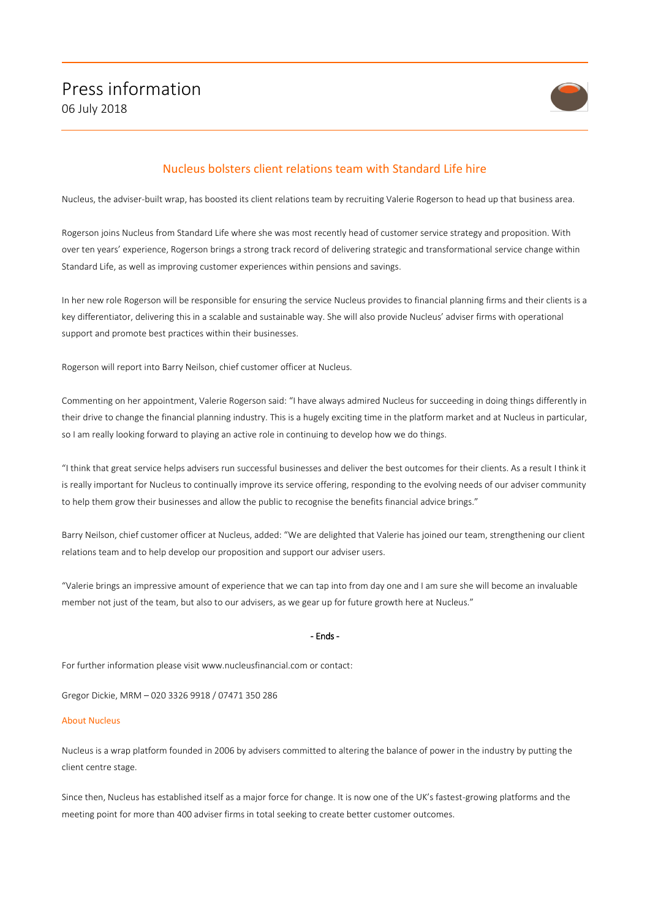

## Nucleus bolsters client relations team with Standard Life hire

Nucleus, the adviser-built wrap, has boosted its client relations team by recruiting Valerie Rogerson to head up that business area.

Rogerson joins Nucleus from Standard Life where she was most recently head of customer service strategy and proposition. With over ten years' experience, Rogerson brings a strong track record of delivering strategic and transformational service change within Standard Life, as well as improving customer experiences within pensions and savings.

In her new role Rogerson will be responsible for ensuring the service Nucleus provides to financial planning firms and their clients is a key differentiator, delivering this in a scalable and sustainable way. She will also provide Nucleus' adviser firms with operational support and promote best practices within their businesses.

Rogerson will report into Barry Neilson, chief customer officer at Nucleus.

Commenting on her appointment, Valerie Rogerson said: "I have always admired Nucleus for succeeding in doing things differently in their drive to change the financial planning industry. This is a hugely exciting time in the platform market and at Nucleus in particular, so I am really looking forward to playing an active role in continuing to develop how we do things.

"I think that great service helps advisers run successful businesses and deliver the best outcomes for their clients. As a result I think it is really important for Nucleus to continually improve its service offering, responding to the evolving needs of our adviser community to help them grow their businesses and allow the public to recognise the benefits financial advice brings."

Barry Neilson, chief customer officer at Nucleus, added: "We are delighted that Valerie has joined our team, strengthening our client relations team and to help develop our proposition and support our adviser users.

"Valerie brings an impressive amount of experience that we can tap into from day one and I am sure she will become an invaluable member not just of the team, but also to our advisers, as we gear up for future growth here at Nucleus."

## - Ends -

For further information please visit www.nucleusfinancial.com or contact:

Gregor Dickie, MRM – 020 3326 9918 / 07471 350 286

## About Nucleus

Nucleus is a wrap platform founded in 2006 by advisers committed to altering the balance of power in the industry by putting the client centre stage.

Since then, Nucleus has established itself as a major force for change. It is now one of the UK's fastest-growing platforms and the meeting point for more than 400 adviser firms in total seeking to create better customer outcomes.